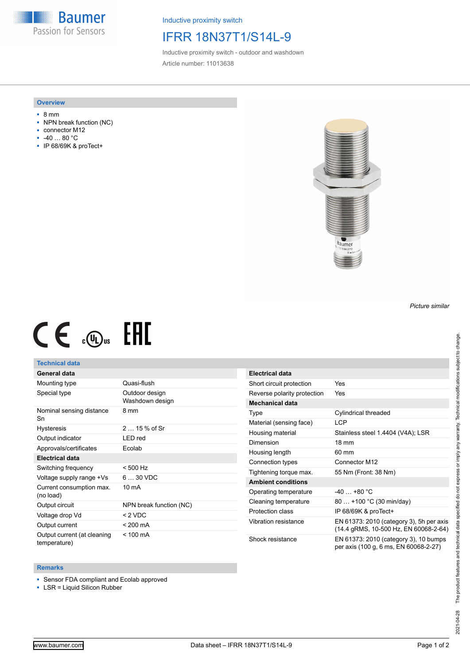**Baumer** Passion for Sensors

Inductive proximity switch

## IFRR 18N37T1/S14L-9

Inductive proximity switch - outdoor and washdown Article number: 11013638

#### **Overview**

- 8 mm
- NPN break function (NC)
- connector M12
- -40 … 80 °C
- IP 68/69K & proTect+



# $CE \mathcal{L}$  (Dus FHI

#### **Technical data**

### **General data**

| Mounting type                               | Quasi-flush                       |
|---------------------------------------------|-----------------------------------|
| Special type                                | Outdoor design<br>Washdown design |
| Nominal sensing distance<br>Sn              | 8 mm                              |
| <b>Hysteresis</b>                           | $215%$ of Sr                      |
| Output indicator                            | LED red                           |
| Approvals/certificates                      | Ecolab                            |
| <b>Electrical data</b>                      |                                   |
| Switching frequency                         | $< 500$ Hz                        |
| Voltage supply range +Vs                    | $630$ VDC                         |
| Current consumption max.<br>(no load)       | $10 \text{ mA}$                   |
| Output circuit                              | NPN break function (NC)           |
| Voltage drop Vd                             | < 2 VDC                           |
| Output current                              | < 200 mA                          |
| Output current (at cleaning<br>temperature) | $< 100 \text{ mA}$                |

| Electrical data             |                                                                                   |
|-----------------------------|-----------------------------------------------------------------------------------|
| Short circuit protection    | Yes                                                                               |
| Reverse polarity protection | Yes                                                                               |
| Mechanical data             |                                                                                   |
| Type                        | Cylindrical threaded                                                              |
| Material (sensing face)     | <b>LCP</b>                                                                        |
| Housing material            | Stainless steel 1.4404 (V4A); LSR                                                 |
| Dimension                   | $18 \text{ mm}$                                                                   |
| Housing length              | 60 mm                                                                             |
| Connection types            | Connector M12                                                                     |
| Tightening torque max.      | 55 Nm (Front: 38 Nm)                                                              |
| <b>Ambient conditions</b>   |                                                                                   |
| Operating temperature       | $-40+80 °C$                                                                       |
| Cleaning temperature        | 80  +100 °C (30 min/day)                                                          |
| Protection class            | IP 68/69K & proTect+                                                              |
| Vibration resistance        | EN 61373: 2010 (category 3), 5h per axis<br>(14.4 gRMS, 10-500 Hz, EN 60068-2-64) |
| Shock resistance            | EN 61373: 2010 (category 3), 10 bumps<br>per axis (100 g, 6 ms, EN 60068-2-27)    |

#### **Remarks**

■ Sensor FDA compliant and Ecolab approved

■ LSR = Liquid Silicon Rubber

*Picture similar*